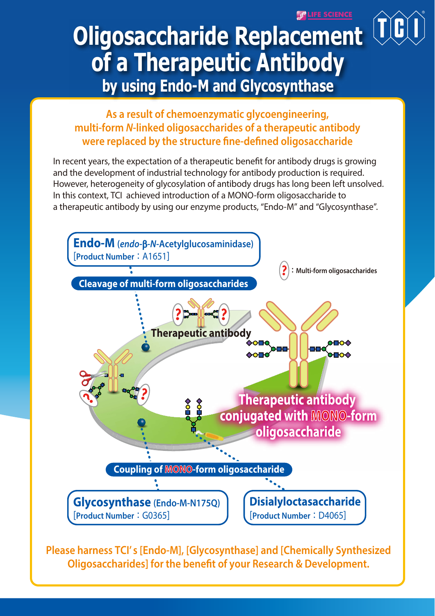**SPLIFE SCIENCE** 

# **Oligosaccharide Replacement of a Therapeutic Antibody by using Endo-M and Glycosynthase**

## **As a result of chemoenzymatic glycoengineering, multi-form** *N***-linked oligosaccharides of a therapeutic antibody** were replaced by the structure fine-defined oligosaccharide

In recent years, the expectation of a therapeutic benefit for antibody drugs is growing and the development of industrial technology for antibody production is required. However, heterogeneity of glycosylation of antibody drugs has long been left unsolved. In this context, TCI achieved introduction of a MONO-form oligosaccharide to a therapeutic antibody by using our enzyme products, "Endo-M" and "Glycosynthase".



**Please harness TCI' s [Endo-M], [Glycosynthase] and [Chemically Synthesized Oligosaccharides] for the benefit of your Research & Development.**